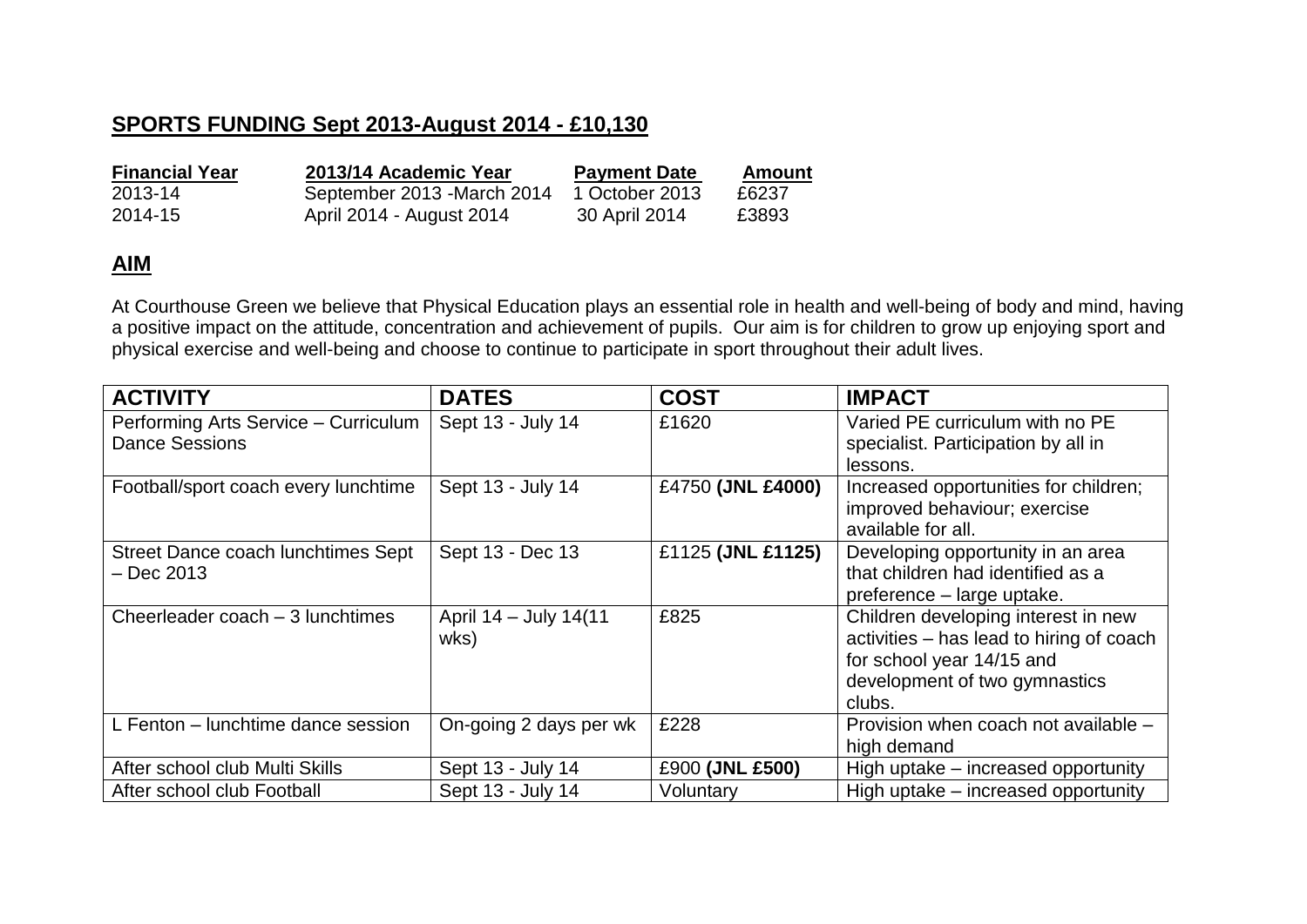## **SPORTS FUNDING Sept 2013-August 2014 - £10,130**

| <b>Financial Year</b> | 2013/14 Academic Year       | <b>Payment Date</b> | Amount |
|-----------------------|-----------------------------|---------------------|--------|
| 2013-14               | September 2013 - March 2014 | 1 October 2013      | £6237  |
| 2014-15               | April 2014 - August 2014    | 30 April 2014       | £3893  |

## **AIM**

At Courthouse Green we believe that Physical Education plays an essential role in health and well-being of body and mind, having a positive impact on the attitude, concentration and achievement of pupils. Our aim is for children to grow up enjoying sport and physical exercise and well-being and choose to continue to participate in sport throughout their adult lives.

| <b>ACTIVITY</b>                           | <b>DATES</b>           | <b>COST</b>       | <b>IMPACT</b>                            |
|-------------------------------------------|------------------------|-------------------|------------------------------------------|
| Performing Arts Service - Curriculum      | Sept 13 - July 14      | £1620             | Varied PE curriculum with no PE          |
| <b>Dance Sessions</b>                     |                        |                   | specialist. Participation by all in      |
|                                           |                        |                   | lessons.                                 |
| Football/sport coach every lunchtime      | Sept 13 - July 14      | £4750 (JNL £4000) | Increased opportunities for children;    |
|                                           |                        |                   | improved behaviour; exercise             |
|                                           |                        |                   | available for all.                       |
| <b>Street Dance coach lunchtimes Sept</b> | Sept 13 - Dec 13       | £1125 (JNL £1125) | Developing opportunity in an area        |
| $-$ Dec 2013                              |                        |                   | that children had identified as a        |
|                                           |                        |                   | preference - large uptake.               |
| Cheerleader coach – 3 lunchtimes          | April 14 - July 14(11  | £825              | Children developing interest in new      |
|                                           | wks)                   |                   | activities - has lead to hiring of coach |
|                                           |                        |                   | for school year 14/15 and                |
|                                           |                        |                   | development of two gymnastics            |
|                                           |                        |                   | clubs.                                   |
| L Fenton – lunchtime dance session        | On-going 2 days per wk | £228              | Provision when coach not available -     |
|                                           |                        |                   | high demand                              |
| After school club Multi Skills            | Sept 13 - July 14      | £900 (JNL £500)   | High uptake - increased opportunity      |
| After school club Football                | Sept 13 - July 14      | Voluntary         | High uptake – increased opportunity      |